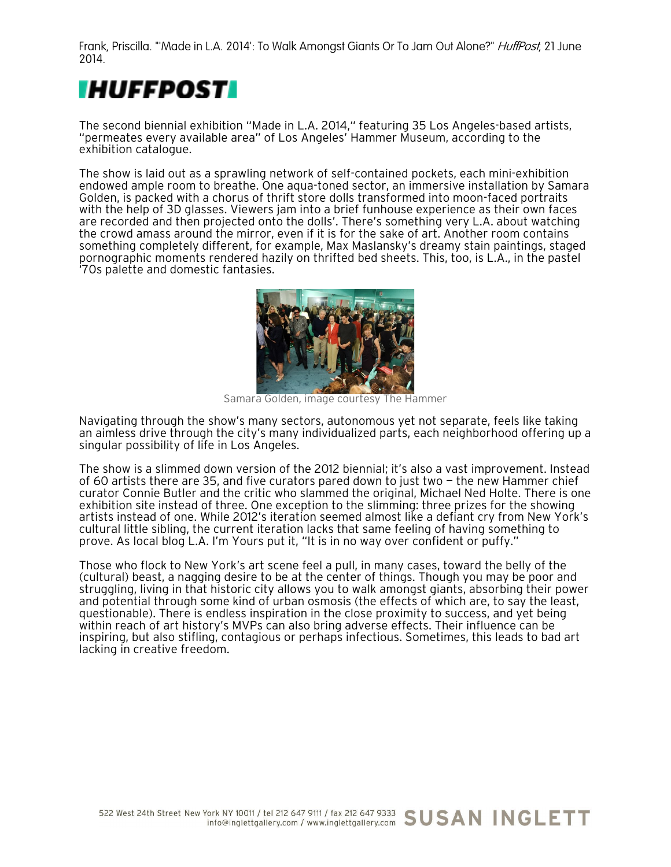Frank, Priscilla. "'Made in L.A. 2014': To Walk Amongst Giants Or To Jam Out Alone?" *HuffPost*, 21 June 2014.

## **HUFFPOST**

The second biennial exhibition "Made in L.A. 2014," featuring 35 Los Angeles-based artists, "permeates every available area" of Los Angeles' Hammer Museum, according to the exhibition catalogue.

The show is laid out as a sprawling network of self-contained pockets, each mini-exhibition endowed ample room to breathe. One aqua-toned sector, an immersive installation by Samara Golden, is packed with a chorus of thrift store dolls transformed into moon-faced portraits with the help of 3D glasses. Viewers jam into a brief funhouse experience as their own faces are recorded and then projected onto the dolls'. There's something very L.A. about watching the crowd amass around the mirror, even if it is for the sake of art. Another room contains something completely different, for example, Max Maslansky's dreamy stain paintings, staged pornographic moments rendered hazily on thrifted bed sheets. This, too, is L.A., in the pastel '70s palette and domestic fantasies.



Samara Golden, image courtesy The Hammer

Navigating through the show's many sectors, autonomous yet not separate, feels like taking an aimless drive through the city's many individualized parts, each neighborhood offering up a singular possibility of life in Los Angeles.

The show is a slimmed down version of the 2012 biennial; it's also a vast improvement. Instead of 60 artists there are 35, and five curators pared down to just two — the new Hammer chief curator Connie Butler and the critic who slammed the original, Michael Ned Holte. There is one exhibition site instead of three. One exception to the slimming: three prizes for the showing artists instead of one. While 2012's iteration seemed almost like a defiant cry from New York's cultural little sibling, the current iteration lacks that same feeling of having something to prove. As local blog L.A. I'm Yours put it, "It is in no way over confident or puffy."

Those who flock to New York's art scene feel a pull, in many cases, toward the belly of the (cultural) beast, a nagging desire to be at the center of things. Though you may be poor and struggling, living in that historic city allows you to walk amongst giants, absorbing their power and potential through some kind of urban osmosis (the effects of which are, to say the least, questionable). There is endless inspiration in the close proximity to success, and yet being within reach of art history's MVPs can also bring adverse effects. Their influence can be inspiring, but also stifling, contagious or perhaps infectious. Sometimes, this leads to bad art lacking in creative freedom.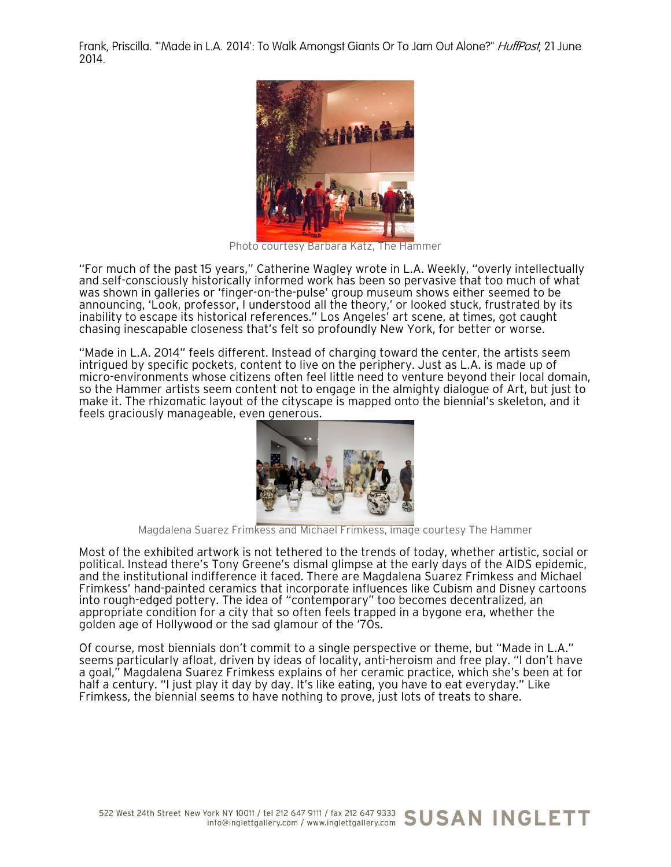Frank, Priscilla. "'Made in L.A. 2014': To Walk Amongst Giants Or To Jam Out Alone?" *HuffPost*, 21 June 2014.



Photo courtesy Barbara Katz, The Hammer

"For much of the past 15 years," Catherine Wagley wrote in L.A. Weekly, "overly intellectually and self-consciously historically informed work has been so pervasive that too much of what was shown in galleries or 'finger-on-the-pulse' group museum shows either seemed to be announcing, 'Look, professor, I understood all the theory,' or looked stuck, frustrated by its inability to escape its historical references." Los Angeles' art scene, at times, got caught chasing inescapable closeness that's felt so profoundly New York, for better or worse.

"Made in L.A. 2014" feels different. Instead of charging toward the center, the artists seem intrigued by specific pockets, content to live on the periphery. Just as L.A. is made up of micro-environments whose citizens often feel little need to venture beyond their local domain, so the Hammer artists seem content not to engage in the almighty dialogue of Art, but just to make it. The rhizomatic layout of the cityscape is mapped onto the biennial's skeleton, and it feels graciously manageable, even generous.



Magdalena Suarez Frimkess and Michael Frimkess, image courtesy The Hammer

Most of the exhibited artwork is not tethered to the trends of today, whether artistic, social or political. Instead there's Tony Greene's dismal glimpse at the early days of the AIDS epidemic, and the institutional indifference it faced. There are Magdalena Suarez Frimkess and Michael Frimkess' hand-painted ceramics that incorporate influences like Cubism and Disney cartoons into rough-edged pottery. The idea of "contemporary" too becomes decentralized, an appropriate condition for a city that so often feels trapped in a bygone era, whether the golden age of Hollywood or the sad glamour of the '70s.

Of course, most biennials don't commit to a single perspective or theme, but "Made in L.A." seems particularly afloat, driven by ideas of locality, anti-heroism and free play. "I don't have a goal," Magdalena Suarez Frimkess explains of her ceramic practice, which she's been at for half a century. "I just play it day by day. It's like eating, you have to eat everyday." Like Frimkess, the biennial seems to have nothing to prove, just lots of treats to share.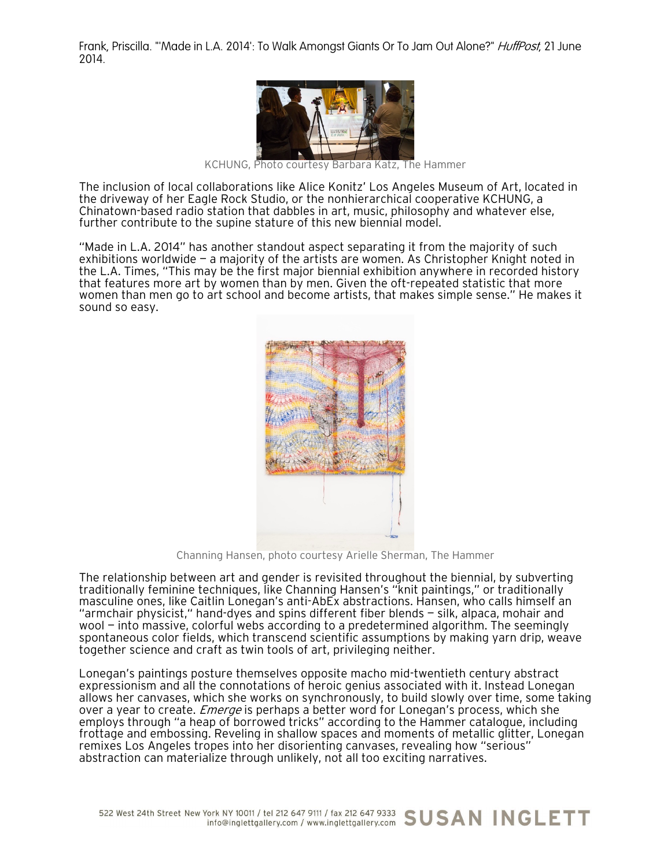Frank, Priscilla. "'Made in L.A. 2014': To Walk Amongst Giants Or To Jam Out Alone?" HuffPost, 21 June 2014.



KCHUNG, Photo courtesy Barbara Katz, The Hammer

The inclusion of local collaborations like Alice Konitz' Los Angeles Museum of Art, located in the driveway of her Eagle Rock Studio, or the nonhierarchical cooperative KCHUNG, a Chinatown-based radio station that dabbles in art, music, philosophy and whatever else, further contribute to the supine stature of this new biennial model.

"Made in L.A. 2014" has another standout aspect separating it from the majority of such exhibitions worldwide – a majority of the artists are women. As Christopher Knight noted in the L.A. Times, "This may be the first major biennial exhibition anywhere in recorded history that features more art by women than by men. Given the oft-repeated statistic that more women than men go to art school and become artists, that makes simple sense." He makes it sound so easy.



Channing Hansen, photo courtesy Arielle Sherman, The Hammer

The relationship between art and gender is revisited throughout the biennial, by subverting traditionally feminine techniques, like Channing Hansen's "knit paintings," or traditionally masculine ones, like Caitlin Lonegan's anti-AbEx abstractions. Hansen, who calls himself an "armchair physicist," hand-dyes and spins different fiber blends — silk, alpaca, mohair and wool — into massive, colorful webs according to a predetermined algorithm. The seemingly spontaneous color fields, which transcend scientific assumptions by making yarn drip, weave together science and craft as twin tools of art, privileging neither.

Lonegan's paintings posture themselves opposite macho mid-twentieth century abstract expressionism and all the connotations of heroic genius associated with it. Instead Lonegan allows her canvases, which she works on synchronously, to build slowly over time, some taking over a year to create. *Emerge* is perhaps a better word for Lonegan's process, which she employs through "a heap of borrowed tricks" according to the Hammer catalogue, including frottage and embossing. Reveling in shallow spaces and moments of metallic glitter, Lonegan remixes Los Angeles tropes into her disorienting canvases, revealing how "serious" abstraction can materialize through unlikely, not all too exciting narratives.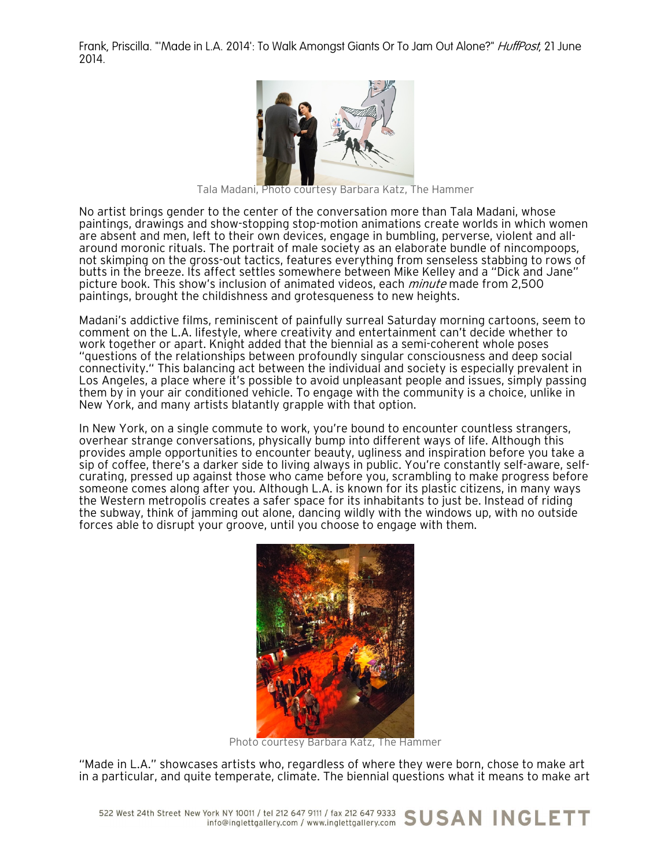Frank, Priscilla. "'Made in L.A. 2014': To Walk Amongst Giants Or To Jam Out Alone?" HuffPost, 21 June 2014.



Tala Madani, Photo courtesy Barbara Katz, The Hammer

No artist brings gender to the center of the conversation more than Tala Madani, whose paintings, drawings and show-stopping stop-motion animations create worlds in which women are absent and men, left to their own devices, engage in bumbling, perverse, violent and allaround moronic rituals. The portrait of male society as an elaborate bundle of nincompoops, not skimping on the gross-out tactics, features everything from senseless stabbing to rows of butts in the breeze. Its affect settles somewhere between Mike Kelley and a "Dick and Jane" picture book. This show's inclusion of animated videos, each minute made from 2,500 paintings, brought the childishness and grotesqueness to new heights.

Madani's addictive films, reminiscent of painfully surreal Saturday morning cartoons, seem to comment on the L.A. lifestyle, where creativity and entertainment can't decide whether to "questions of the relationships between profoundly singular consciousness and deep social connectivity." This balancing act between the individual and society is especially prevalent in Los Angeles, a place where it's possible to avoid unpleasant people and issues, simply passing them by in your air conditioned vehicle. To engage with the community is a choice, unlike in New York, and many artists blatantly grapple with that option.

In New York, on a single commute to work, you're bound to encounter countless strangers, overhear strange conversations, physically bump into different ways of life. Although this provides ample opportunities to encounter beauty, ugliness and inspiration before you take a<br>sip of coffee, there's a darker side to living always in public. You're constantly self-aware, selfcurating, pressed up against those who came before you, scrambling to make progress before someone comes along after you. Although L.A. is known for its plastic citizens, in many ways the Western metropolis creates a safer space for its inhabitants to just be. Instead of riding the subway, think of jamming out alone, dancing wildly with the windows up, with no outside forces able to disrupt your groove, until you choose to engage with them.



Photo courtesy Barbara Katz, The Hammer

"Made in L.A." showcases artists who, regardless of where they were born, chose to make art in a particular, and quite temperate, climate. The biennial questions what it means to make art

522 West 24th Street New York NY 10011 / tel 212 647 9111 / fax 212 647 9333 SUSAN INGLETT